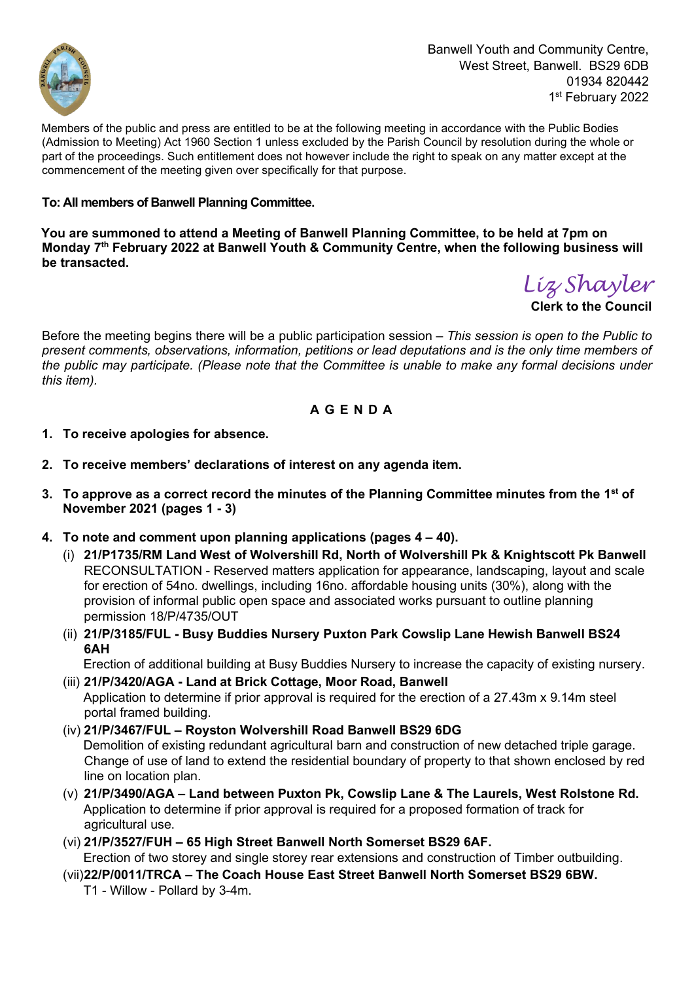

Banwell Youth and Community Centre, West Street, Banwell. BS29 6DB 01934 820442 1st February 2022

Members of the public and press are entitled to be at the following meeting in accordance with the Public Bodies (Admission to Meeting) Act 1960 Section 1 unless excluded by the Parish Council by resolution during the whole or part of the proceedings. Such entitlement does not however include the right to speak on any matter except at the commencement of the meeting given over specifically for that purpose.

## **To: All members of Banwell Planning Committee.**

**You are summoned to attend a Meeting of Banwell Planning Committee, to be held at 7pm on Monday 7 th February 2022 at Banwell Youth & Community Centre, when the following business will be transacted.**

*Liz Shayler*

**Clerk to the Council** 

Before the meeting begins there will be a public participation session *– This session is open to the Public to present comments, observations, information, petitions or lead deputations and is the only time members of the public may participate. (Please note that the Committee is unable to make any formal decisions under this item).* 

## **A G E N D A**

- **1. To receive apologies for absence.**
- **2. To receive members' declarations of interest on any agenda item.**
- **3. To approve as a correct record the minutes of the Planning Committee minutes from the 1 st of November 2021 (pages 1 - 3)**
- **4. To note and comment upon planning applications (pages 4 – 40).**
	- (i) **21/P1735/RM Land West of Wolvershill Rd, North of Wolvershill Pk & Knightscott Pk Banwell** RECONSULTATION - Reserved matters application for appearance, landscaping, layout and scale for erection of 54no. dwellings, including 16no. affordable housing units (30%), along with the provision of informal public open space and associated works pursuant to outline planning permission 18/P/4735/OUT
	- (ii) **21/P/3185/FUL - Busy Buddies Nursery Puxton Park Cowslip Lane Hewish Banwell BS24 6AH**

Erection of additional building at Busy Buddies Nursery to increase the capacity of existing nursery.

- (iii) **21/P/3420/AGA - Land at Brick Cottage, Moor Road, Banwell** Application to determine if prior approval is required for the erection of a 27.43m x 9.14m steel portal framed building.
- (iv) **21/P/3467/FUL – Royston Wolvershill Road Banwell BS29 6DG** Demolition of existing redundant agricultural barn and construction of new detached triple garage. Change of use of land to extend the residential boundary of property to that shown enclosed by red line on location plan.
- (v) **21/P/3490/AGA – Land between Puxton Pk, Cowslip Lane & The Laurels, West Rolstone Rd.** Application to determine if prior approval is required for a proposed formation of track for agricultural use.
- (vi) **21/P/3527/FUH – 65 High Street Banwell North Somerset BS29 6AF.**  Erection of two storey and single storey rear extensions and construction of Timber outbuilding.
- (vii)**22/P/0011/TRCA – The Coach House East Street Banwell North Somerset BS29 6BW.**  T1 - Willow - Pollard by 3-4m.